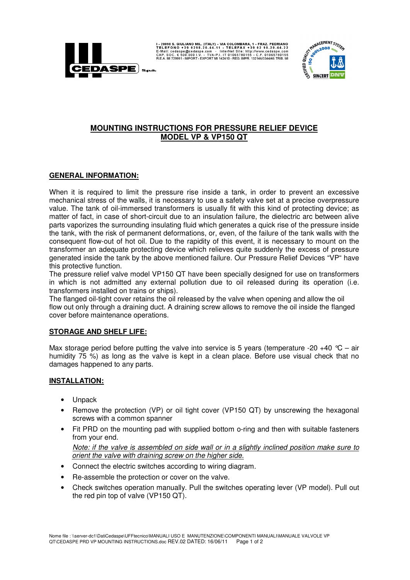

I-20098 S. GIULIANO MIL. (ITALY) - VIA COLOMBARA, 1 - FRAZ. PEDRIANO E-MAI: 2019 8.20.44.22<br>TELEFONO + 39 0298.20.44.11 - TELEFAX + 39 02 98.20.44.22<br>E-Mail: cedaspe@cedaspe.com - InterNet Site: http://www.cedaspe.com<br>CAP.



# **MOUNTING INSTRUCTIONS FOR PRESSURE RELIEF DEVICE MODEL VP & VP150 QT**

## **GENERAL INFORMATION:**

When it is required to limit the pressure rise inside a tank, in order to prevent an excessive mechanical stress of the walls, it is necessary to use a safety valve set at a precise overpressure value. The tank of oil-immersed transformers is usually fit with this kind of protecting device; as matter of fact, in case of short-circuit due to an insulation failure, the dielectric arc between alive parts vaporizes the surrounding insulating fluid which generates a quick rise of the pressure inside the tank, with the risk of permanent deformations, or, even, of the failure of the tank walls with the consequent flow-out of hot oil. Due to the rapidity of this event, it is necessary to mount on the transformer an adequate protecting device which relieves quite suddenly the excess of pressure generated inside the tank by the above mentioned failure. Our Pressure Relief Devices "VP" have this protective function.

The pressure relief valve model VP150 QT have been specially designed for use on transformers in which is not admitted any external pollution due to oil released during its operation (i.e. transformers installed on trains or ships).

The flanged oil-tight cover retains the oil released by the valve when opening and allow the oil flow out only through a draining duct. A draining screw allows to remove the oil inside the flanged cover before maintenance operations.

#### **STORAGE AND SHELF LIFE:**

Max storage period before putting the valve into service is 5 years (temperature -20 +40  $^{\circ}$ C – air humidity 75 %) as long as the valve is kept in a clean place. Before use visual check that no damages happened to any parts.

## **INSTALLATION:**

- Unpack
- Remove the protection (VP) or oil tight cover (VP150 QT) by unscrewing the hexagonal screws with a common spanner
- Fit PRD on the mounting pad with supplied bottom o-ring and then with suitable fasteners from your end.

Note: if the valve is assembled on side wall or in a slightly inclined position make sure to orient the valve with draining screw on the higher side.

- Connect the electric switches according to wiring diagram.
- Re-assemble the protection or cover on the valve.
- Check switches operation manually. Pull the switches operating lever (VP model). Pull out the red pin top of valve (VP150 QT).